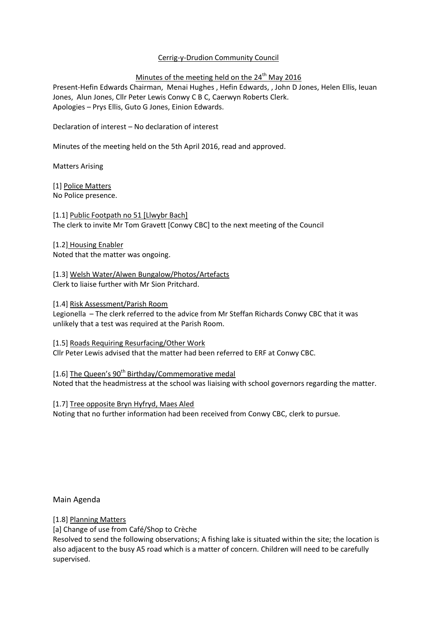## Cerrig-y-Drudion Community Council

## Minutes of the meeting held on the  $24<sup>th</sup>$  May 2016

Present-Hefin Edwards Chairman, Menai Hughes , Hefin Edwards, , John D Jones, Helen Ellis, Ieuan Jones, Alun Jones, Cllr Peter Lewis Conwy C B C, Caerwyn Roberts Clerk. Apologies – Prys Ellis, Guto G Jones, Einion Edwards.

Declaration of interest – No declaration of interest

Minutes of the meeting held on the 5th April 2016, read and approved.

Matters Arising

[1] Police Matters No Police presence.

[1.1] Public Footpath no 51 [Llwybr Bach] The clerk to invite Mr Tom Gravett [Conwy CBC] to the next meeting of the Council

[1.2] Housing Enabler Noted that the matter was ongoing.

[1.3] Welsh Water/Alwen Bungalow/Photos/Artefacts Clerk to liaise further with Mr Sion Pritchard.

[1.4] Risk Assessment/Parish Room

Legionella – The clerk referred to the advice from Mr Steffan Richards Conwy CBC that it was unlikely that a test was required at the Parish Room.

[1.5] Roads Requiring Resurfacing/Other Work Cllr Peter Lewis advised that the matter had been referred to ERF at Conwy CBC.

[1.6] The Queen's 90<sup>th</sup> Birthday/Commemorative medal Noted that the headmistress at the school was liaising with school governors regarding the matter.

[1.7] Tree opposite Bryn Hyfryd, Maes Aled Noting that no further information had been received from Conwy CBC, clerk to pursue.

Main Agenda

[1.8] Planning Matters

[a] Change of use from Café/Shop to Crèche

Resolved to send the following observations; A fishing lake is situated within the site; the location is also adjacent to the busy A5 road which is a matter of concern. Children will need to be carefully supervised.